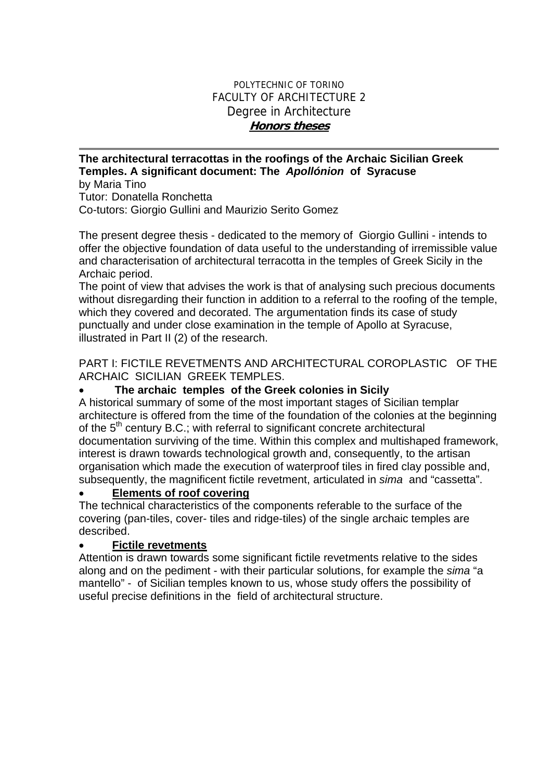### POLYTECHNIC OF TORINO FACULTY OF ARCHITECTURE 2 Degree in Architecture **Honors theses**

# **The architectural terracottas in the roofings of the Archaic Sicilian Greek Temples. A significant document: The** *Apollónion* **of Syracuse**

by Maria Tino Tutor: Donatella Ronchetta Co-tutors: Giorgio Gullini and Maurizio Serito Gomez

The present degree thesis - dedicated to the memory of Giorgio Gullini - intends to offer the objective foundation of data useful to the understanding of irremissible value and characterisation of architectural terracotta in the temples of Greek Sicily in the Archaic period.

The point of view that advises the work is that of analysing such precious documents without disregarding their function in addition to a referral to the roofing of the temple, which they covered and decorated. The argumentation finds its case of study punctually and under close examination in the temple of Apollo at Syracuse, illustrated in Part II (2) of the research.

PART I: FICTILE REVETMENTS AND ARCHITECTURAL COROPLASTIC OF THE ARCHAIC SICILIAN GREEK TEMPLES.

### • **The archaic temples of the Greek colonies in Sicily**

A historical summary of some of the most important stages of Sicilian templar architecture is offered from the time of the foundation of the colonies at the beginning of the  $5<sup>th</sup>$  century B.C.; with referral to significant concrete architectural documentation surviving of the time. Within this complex and multishaped framework, interest is drawn towards technological growth and, consequently, to the artisan organisation which made the execution of waterproof tiles in fired clay possible and, subsequently, the magnificent fictile revetment, articulated in *sima* and "cassetta".

# • **Elements of roof covering**

The technical characteristics of the components referable to the surface of the covering (pan-tiles, cover- tiles and ridge-tiles) of the single archaic temples are described.

# • **Fictile revetments**

Attention is drawn towards some significant fictile revetments relative to the sides along and on the pediment - with their particular solutions, for example the *sima* "a mantello" - of Sicilian temples known to us, whose study offers the possibility of useful precise definitions in the field of architectural structure.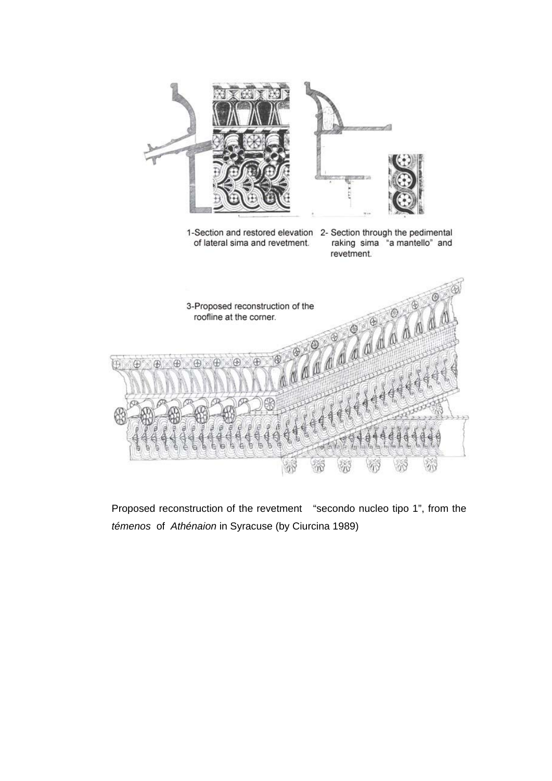

Proposed reconstruction of the revetment "secondo nucleo tipo 1", from the *témenos* of *Athénaion* in Syracuse (by Ciurcina 1989)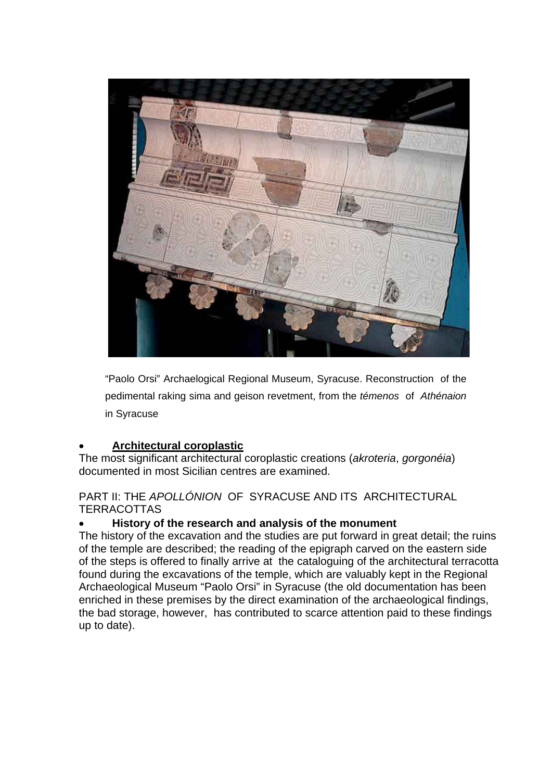

"Paolo Orsi" Archaelogical Regional Museum, Syracuse. Reconstruction of the pedimental raking sima and geison revetment, from the *témenos* of *Athénaion*  in Syracuse

# • **Architectural coroplastic**

The most significant architectural coroplastic creations (*akroteria*, *gorgonéia*) documented in most Sicilian centres are examined.

PART II: THE *APOLLÓNION* OF SYRACUSE AND ITS ARCHITECTURAL **TERRACOTTAS** 

#### • **History of the research and analysis of the monument**

The history of the excavation and the studies are put forward in great detail; the ruins of the temple are described; the reading of the epigraph carved on the eastern side of the steps is offered to finally arrive at the cataloguing of the architectural terracotta found during the excavations of the temple, which are valuably kept in the Regional Archaeological Museum "Paolo Orsi" in Syracuse (the old documentation has been enriched in these premises by the direct examination of the archaeological findings, the bad storage, however, has contributed to scarce attention paid to these findings up to date).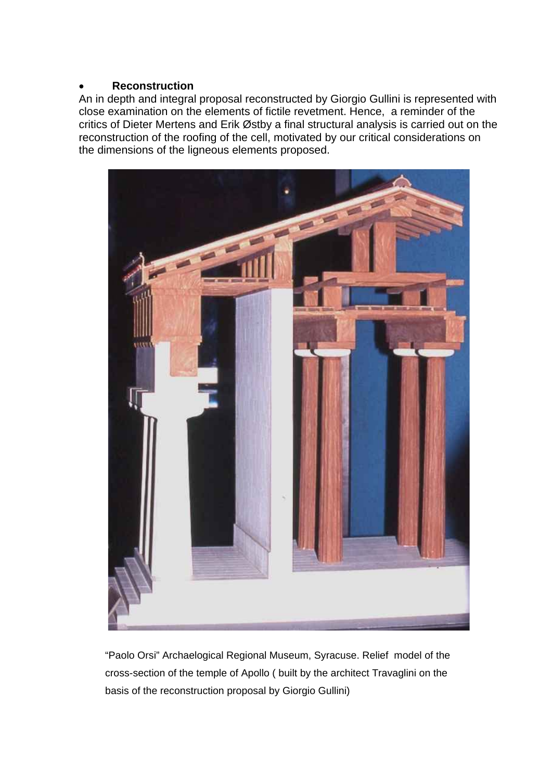#### • **Reconstruction**

An in depth and integral proposal reconstructed by Giorgio Gullini is represented with close examination on the elements of fictile revetment. Hence, a reminder of the critics of Dieter Mertens and Erik Østby a final structural analysis is carried out on the reconstruction of the roofing of the cell, motivated by our critical considerations on the dimensions of the ligneous elements proposed.



"Paolo Orsi" Archaelogical Regional Museum, Syracuse. Relief model of the cross-section of the temple of Apollo ( built by the architect Travaglini on the basis of the reconstruction proposal by Giorgio Gullini)